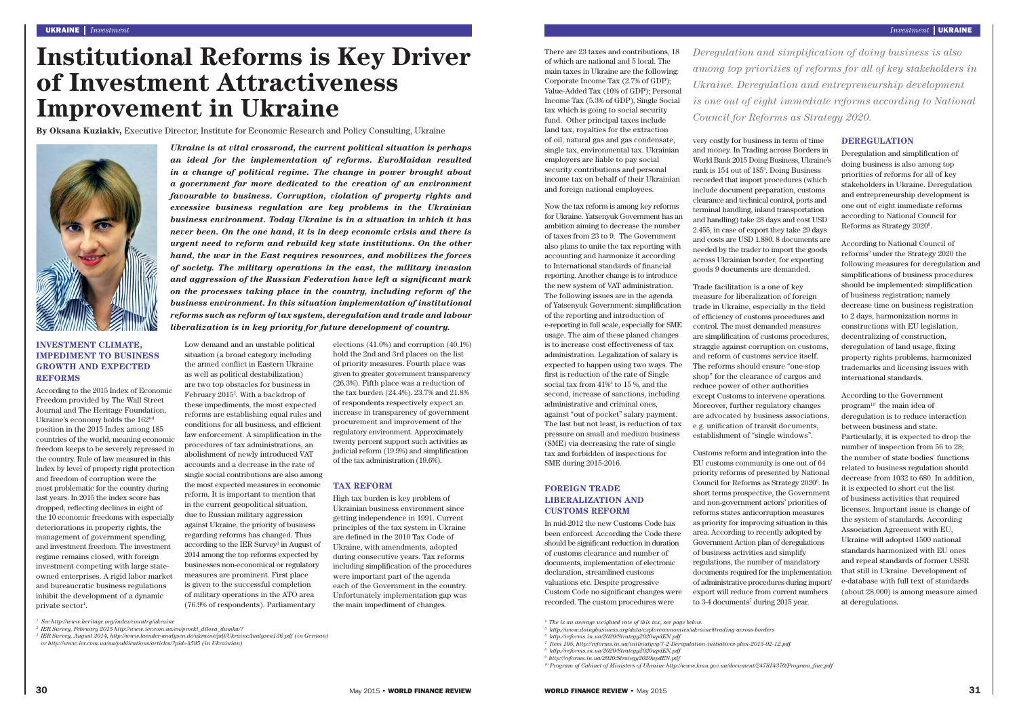There are 23 taxes and contributions, 18 of which are national and 5 local. The main taxes in Ukraine are the following: Corporate Income Tax (2.7% of GDP); Value-Added Tax (10% of GDP); Personal Income Tax (5.3% of GDP), Single Social tax which is going to social security fund. Other principal taxes include land tax, royalties for the extraction of oil, natural gas and gas condensate, single tax, environmental tax. Ukrainian employers are liable to pay social security contributions and personal income tax on behalf of their Ukrainian and foreign national employees.

Now the tax reform is among key reforms for Ukraine. Yatsenyuk Government has an ambition aiming to decrease the number of taxes from 23 to 9. The Government also plans to unite the tax reporting with accounting and harmonize it according to International standards of financial reporting. Another change is to introduce the new system of VAT administration. The following issues are in the agenda of Yatsenyuk Government: simplification of the reporting and introduction of e-reporting in full scale, especially for SME usage. The aim of these planed changes is to increase cost effectiveness of tax administration. Legalization of salary is expected to happen using two ways. The first is reduction of the rate of Single social tax from 41%4 to 15 %, and the second, increase of sanctions, including administrative and criminal ones, against "out of pocket" salary payment. The last but not least, is reduction of tax pressure on small and medium business (SME) via decreasing the rate of single tax and forbidden of inspections for SME during 2015-2016.

Customs reform and integration into the EU customs community is one out of 64 priority reforms of presented by National Council for Reforms as Strategy 2020<sup>6</sup>. In short terms prospective, the Government and non-government actors' priorities of reforms states anticorruption measures as priority for improving situation in this area. According to recently adopted by Government Action plan of deregulations of business activities and simplify regulations, the number of mandatory documents required for the implementation of administrative procedures during import/ export will reduce from current numbers to 3-4 documents<sup>7</sup> during 2015 year.

#### **FOREIGN TRADE LIBERALIZATION AND CUSTOMS REFORM**

In mid-2012 the new Customs Code has been enforced. According the Code there should be significant reduction in duration of customs clearance and number of documents, implementation of electronic declaration, streamlined customs valuations etc. Despite progressive Custom Code no significant changes were recorded. The custom procedures were

Deregulation and simplification of doing business is also among top priorities of reforms for all of key stakeholders in Ukraine. Deregulation and entrepreneurship development is one out of eight immediate reforms according to National Council for Reforms as Strategy 20208 .

very costly for business in term of time and money. In Trading across Borders in World Bank 2015 Doing Business, Ukraine's rank is 154 out of 1855. Doing Business recorded that import procedures (which include document preparation, customs clearance and technical control, ports and terminal handling, inland transportation and handling) take 28 days and cost USD 2.455, in case of export they take 29 days and costs are USD 1.880. 8 documents are needed by the trader to import the goods across Ukrainian border, for exporting goods 9 documents are demanded.

According to the 2015 Index of Economic Freedom provided by The Wall Street Journal and The Heritage Foundation, Ukraine's economy holds the 162nd position in the 2015 Index among 185 countries of the world, meaning economic freedom keeps to be severely repressed in the country. Rule of law measured in this Index by level of property right protection and freedom of corruption were the most problematic for the country during last years. In 2015 the index score has dropped, reflecting declines in eight of the 10 economic freedoms with especially deteriorations in property rights, the management of government spending, and investment freedom. The investment regime remains closed, with foreign investment competing with large stateowned enterprises. A rigid labor market and bureaucratic business regulations inhibit the development of a dynamic private  $\mathrm{sector}^1.$ 

Trade facilitation is a one of key measure for liberalization of foreign trade in Ukraine, especially in the field of efficiency of customs procedures and control. The most demanded measures are simplification of customs procedures, straggle against corruption on customs, and reform of customs service itself. The reforms should ensure "one-stop shop" for the clearance of cargos and reduce power of other authorities except Customs to intervene operations. Moreover, further regulatory changes are advocated by business associations, e.g. unification of transit documents, establishment of "single windows".

#### **DEREGULATION**

According to National Council of reforms<sup>9</sup> under the Strategy 2020 the following measures for deregulation and simpli fi cations of business procedures should be implemented: simplification of business registration; namely decrease time on business registration to 2 days, harmonization norms in constructions with EU legislation, decentralizing of construction, deregulation of land usage, fixing property rights problems, harmonized trademarks and licensing issues with international standards.

According to the Government program10 the main idea of deregulation is to reduce interaction between business and state. Particularly, it is expected to drop the number of inspection from 56 to 28; the number of state bodies' functions related to business regulation should decrease from 1032 to 680. In addition, it is expected to short cut the list of business activities that required licenses. Important issue is change of the system of standards. According Association Agreement with EU, Ukraine will adopted 1500 national standards harmonized with EU ones and repeal standards of former USSR that still in Ukraine. Development of e-database with full text of standards (about 28,000) is among measure aimed at deregulations.

<sup>5</sup> http://www.doingbusiness.org/data/exploreeconomies/ *6 http://reforms.in.ua/2020/Strategy2020updEN.pdf*

# **Institutional Reforms is Key Driver of Investment Attractiveness Improvement in Ukraine**

## **INVESTMENT CLIMATE, IMPEDIMENT TO BUSINESS GROWTH AND EXPECTED REFORMS**

Low demand and an unstable political situation (a broad category including the armed conflict in Eastern Ukraine as well as political destabilization) are two top obstacles for business in February 20152. With a backdrop of these impediments, the most expected reforms are establishing equal rules and conditions for all business, and efficient law enforcement. A simplification in the procedures of tax administrations, an abolishment of newly introduced VAT accounts and a decrease in the rate of single social contributions are also among the most expected measures in economic reform. It is important to mention that in the current geopolitical situation, due to Russian military aggression against Ukraine, the priority of business regarding reforms has changed. Thus according to the IER Survey3 in August of 2014 among the top reforms expected by businesses non-economical or regulatory measures are prominent. First place is given to the successful completion of military operations in the ATO area (76.9% of respondents). Parliamentary

elections (41.0%) and corruption (40.1%) hold the 2nd and 3rd places on the list of priority measures. Fourth place was given to greater government transparency (26.3%). Fifth place was a reduction of the tax burden (24.4%). 23.7% and 21.8% of respondents respectively expect an increase in transparency of government procurement and improvement of the regulatory environment. Approximately twenty percent support such activities as judicial reform (19.9%) and simpli fi cation of the tax administration (19.6%).

### **TAX REFORM**

High tax burden is key problem of Ukrainian business environment since getting independence in 1991. Current principles of the tax system in Ukraine are defined in the 2010 Tax Code of Ukraine, with amendments, adopted during consecutive years. Tax reforms including simpli fi cation of the procedures were important part of the agenda each of the Government in the country. Unfortunately implementation gap was the main impediment of changes.

**By Oksana Kuziakiv,** Executive Director, Institute for Economic Research and Policy Consulting, Ukraine



*Ukraine is at vital crossroad, the current political situation is perhaps an ideal for the implementation of reforms. EuroMaidan resulted in a change of political regime. The change in power brought about a government far more dedicated to the creation of an environment favourable to business. Corruption, violation of property rights and excessive business regulation are key problems in the Ukrainian business environment. Today Ukraine is in a situation in which it has never been. On the one hand, it is in deep economic crisis and there is urgent need to reform and rebuild key state institutions. On the other hand, the war in the East requires resources, and mobilizes the forces of society. The military operations in the east, the military invasion*  and aggression of the Russian Federation have left a significant mark *on the processes taking place in the country, including reform of the business environment. In this situation implementation of institutional reforms such as reform of tax system, deregulation and trade and labour liberalization is in key priority for future development of country.*

*4 The is an average weighted rate of this tax, see page below.*

*7 Item 105, http://reforms.in.ua/initsiatyvy/7-2-Deregulation-initiatives-plan-2015-02-12.pdf*

*8 http://reforms.in.ua/2020/Strategy2020updEN.pdf 9 http://reforms.in.ua/2020/Strategy2020updEN.pdf* 

*10 Program of Cabinet of Ministers of Ukraine http://www.kmu.gov.ua/document/247814370/Program\_fi ne.pdf*

*Deregulation and simplifi cation of doing business is also among top priorities of reforms for all of key stakeholders in Ukraine. Deregulation and entrepreneurship development is one out of eight immediate reforms according to National Council for Reforms as Strategy 2020.*

*<sup>1</sup> See http://www.heritage.org/index/country/ukraine*

*<sup>2</sup> IER Survey, February 2015 http://www.ier.com.ua/en/proekt\_dilova\_dumka/?* 

*<sup>3</sup> IER Survey, August 2014, http://www.laender-analysen.de/ukraine/pdf/UkraineAnalysen136.pdf (in German)* 

*or http://www.ier.com.ua/ua/publications/articles/?pid=4595 (in Ukrainian)*